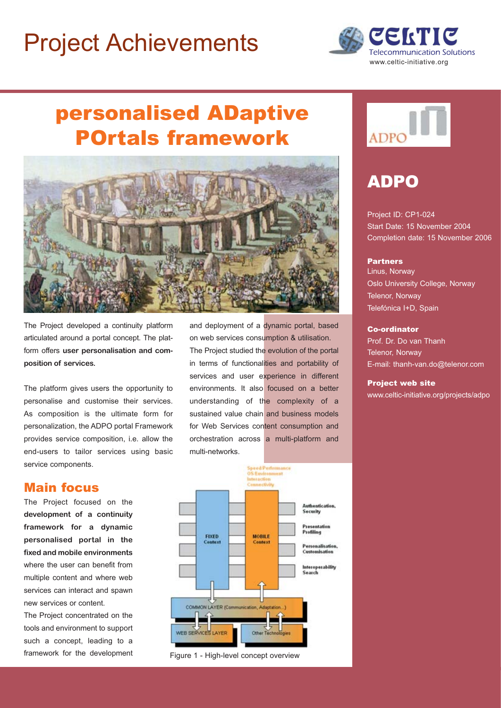# Project Achievements



## personalised ADaptive POrtals framework



The Project developed a continuity platform articulated around a portal concept. The platform offers **user personalisation and composition of services.**

The platform gives users the opportunity to personalise and customise their services. As composition is the ultimate form for personalization, the ADPO portal Framework provides service composition, i.e. allow the end-users to tailor services using basic service components.

#### Main focus

The Project focused on the **development of a continuity framework for a dynamic personalised portal in the fixed and mobile environments** where the user can benefit from multiple content and where web services can interact and spawn new services or content.

The Project concentrated on the tools and environment to support such a concept, leading to a framework for the development

and deployment of a dynamic portal, based on web services consumption & utilisation. The Project studied the evolution of the portal in terms of functionalities and portability of services and user experience in different environments. It also focused on a better understanding of the complexity of a sustained value chain and business models for Web Services content consumption and orchestration across a multi-platform and multi-networks.



Figure 1 - High-level concept overview



### ADPO

Project ID: CP1-024 Start Date: 15 November 2004 Completion date: 15 November 2006

#### Partners

Linus, Norway Oslo University College, Norway Telenor, Norway Telefónica I+D, Spain

#### Co-ordinator

Prof. Dr. Do van Thanh Telenor, Norway E-mail: thanh-van.do@telenor.com

#### Project web site

www.celtic-initiative.org/projects/adpo